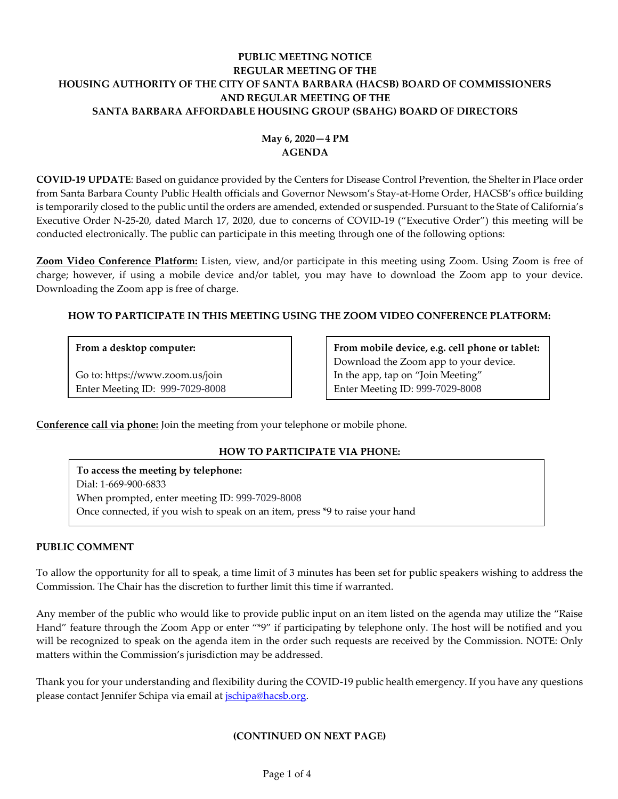# **PUBLIC MEETING NOTICE REGULAR MEETING OF THE HOUSING AUTHORITY OF THE CITY OF SANTA BARBARA (HACSB) BOARD OF COMMISSIONERS AND REGULAR MEETING OF THE SANTA BARBARA AFFORDABLE HOUSING GROUP (SBAHG) BOARD OF DIRECTORS**

# **May 6, 2020—4 PM AGENDA**

**COVID-19 UPDATE**: Based on guidance provided by the Centers for Disease Control Prevention, the Shelter in Place order from Santa Barbara County Public Health officials and Governor Newsom's Stay-at-Home Order, HACSB's office building is temporarily closed to the public until the orders are amended, extended or suspended. Pursuant to the State of California's Executive Order N-25-20, dated March 17, 2020, due to concerns of COVID-19 ("Executive Order") this meeting will be conducted electronically. The public can participate in this meeting through one of the following options:

**Zoom Video Conference Platform:** Listen, view, and/or participate in this meeting using Zoom. Using Zoom is free of charge; however, if using a mobile device and/or tablet, you may have to download the Zoom app to your device. Downloading the Zoom app is free of charge.

# **HOW TO PARTICIPATE IN THIS MEETING USING THE ZOOM VIDEO CONFERENCE PLATFORM:**

# **From a desktop computer:**

Go to: https://www.zoom.us/join Enter Meeting ID: 999-7029-8008 **From mobile device, e.g. cell phone or tablet:** Download the Zoom app to your device. In the app, tap on "Join Meeting" Enter Meeting ID: 999-7029-8008

**Conference call via phone:** Join the meeting from your telephone or mobile phone.

# **HOW TO PARTICIPATE VIA PHONE:**

**To access the meeting by telephone:** Dial: 1-669-900-6833 When prompted, enter meeting ID: 999-7029-8008 Once connected, if you wish to speak on an item, press \*9 to raise your hand

# **PUBLIC COMMENT**

To allow the opportunity for all to speak, a time limit of 3 minutes has been set for public speakers wishing to address the Commission. The Chair has the discretion to further limit this time if warranted.

Any member of the public who would like to provide public input on an item listed on the agenda may utilize the "Raise Hand" feature through the Zoom App or enter "\*9" if participating by telephone only. The host will be notified and you will be recognized to speak on the agenda item in the order such requests are received by the Commission. NOTE: Only matters within the Commission's jurisdiction may be addressed.

Thank you for your understanding and flexibility during the COVID-19 public health emergency. If you have any questions please contact Jennifer Schipa via email at *jschipa@hacsb.org*.

# **(CONTINUED ON NEXT PAGE)**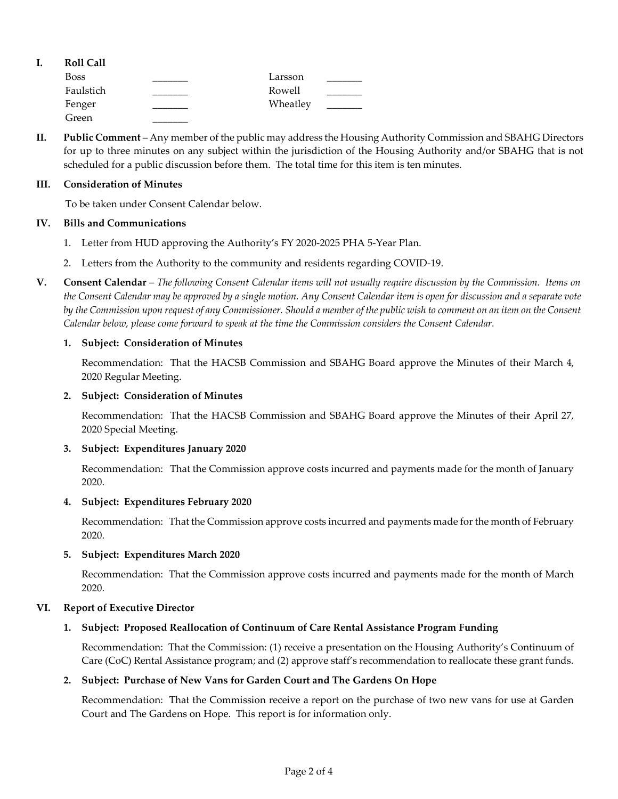| ı. | <b>Roll Call</b> |          |  |
|----|------------------|----------|--|
|    | <b>Boss</b>      | Larsson  |  |
|    | Faulstich        | Rowell   |  |
|    | Fenger           | Wheatley |  |
|    | Green            |          |  |

**II. Public Comment** – Any member of the public may address the Housing Authority Commission and SBAHG Directors for up to three minutes on any subject within the jurisdiction of the Housing Authority and/or SBAHG that is not scheduled for a public discussion before them. The total time for this item is ten minutes.

### **III. Consideration of Minutes**

To be taken under Consent Calendar below.

### **IV. Bills and Communications**

- 1. [Letter from HUD approving the Authority's](https://hacsb.org/download/meetings_2020/items/05_may/Item-IV.1.pdf) FY 2020-2025 PHA 5-Year Plan.
- 2. [Letters from the Authority to the community and residents regarding COVID-19.](https://hacsb.org/download/meetings_2020/items/05_may/Item-IV.2.pdf)
- **V. Consent Calendar** *The following Consent Calendar items will not usually require discussion by the Commission. Items on the Consent Calendar may be approved by a single motion. Any Consent Calendar item is open for discussion and a separate vote by the Commission upon request of any Commissioner. Should a member of the public wish to comment on an item on the Consent Calendar below, please come forward to speak at the time the Commission considers the Consent Calendar.*

### **1. Subject: Consideration of Minutes**

Recommendation: That the HACSB Commission [and SBAHG Board approve the Minutes of their March 4,](https://hacsb.org/download/meetings_2020/items/05_may/Item-V.1.pdf)  2020 Regular Meeting.

### **2. Subject: Consideration of Minutes**

[Recommendation: That the HACSB Commission and SBAHG Board approve the Minutes of their April 27,](https://hacsb.org/download/meetings_2020/items/05_may/Item-V.2.pdf)  2020 Special Meeting.

#### **3. Subject: Expenditures January 2020**

[Recommendation: That the Commission approve costs incurred and payments made for the month of January](https://hacsb.org/download/meetings_2020/items/05_may/Item-V.3.pdf)  2020.

#### **4. Subject: Expenditures February 2020**

[Recommendation: That the Commission approve costs incurred and payments made for the month of February](https://hacsb.org/download/meetings_2020/items/05_may/Item-V.4.pdf) 2020.

### **5. Subject: Expenditures March 2020**

[Recommendation: That the Commission approve costs incurred and payments made for the month of March](https://hacsb.org/download/meetings_2020/items/05_may/Item-V.5.pdf) 2020.

# **VI. Report of Executive Director**

# **1. Subject: Proposed Reallocation of Continuum of Care Rental Assistance Program Funding**

Recommendation: That the Commission: (1) receive a presentation on the Housing Authority's Continuum of [Care \(CoC\) Rental Assistance program; and \(2\) approve staff's recommendation to reallocate these grant funds.](https://hacsb.org/download/meetings_2020/items/05_may/Item-VI.1.pdf)

#### **2. Subject: Purchase of New Vans for Garden Court and The Gardens On Hope**

Recommendation:[That the Commission receive a report on the purchase of two new vans for use at Garden](https://hacsb.org/download/meetings_2020/items/05_may/Item-VI.2.pdf)  Court and The Gardens on Hope. This report is for information only.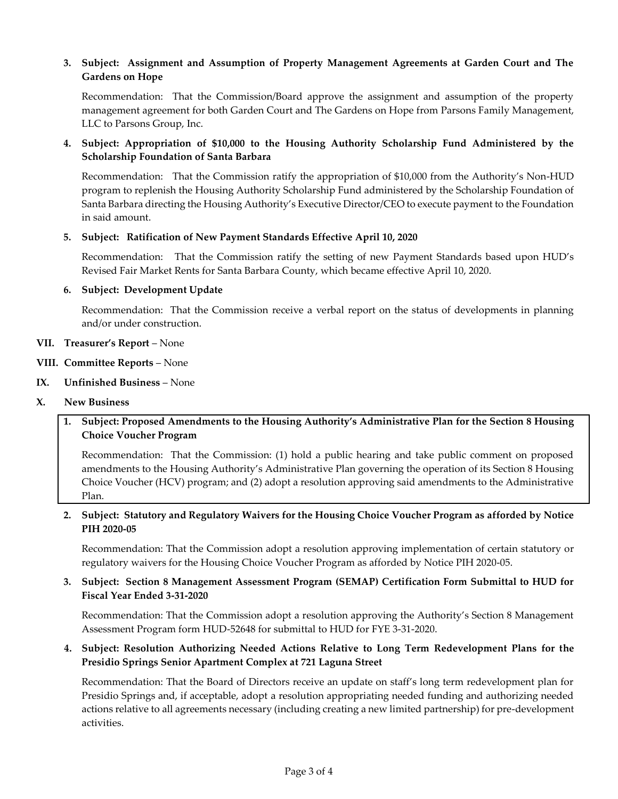# **3. Subject: Assignment and Assumption of Property Management Agreements at Garden Court and The Gardens on Hope**

Recommendation: That the Commission/Board approve the assignment and assumption of the property [management agreement for both Garden Court and The Gardens on Hope from Parsons Family Management,](https://hacsb.org/download/meetings_2020/items/05_may/Item-VI.3.pdf)  LLC to Parsons Group, Inc.

# **4. Subject: Appropriation of \$10,000 to the Housing Authority Scholarship Fund Administered by the Scholarship Foundation of Santa Barbara**

Recommendation: That the Commission ratify the appropriation of \$10,000 from the Authority's Non-HUD [program to replenish the Housing Authority Scholarship Fund administered by the Scholarship Foundation of](https://hacsb.org/download/meetings_2020/items/05_may/Item-VI.4.pdf)  Santa Barbara directing the Housing Authority's Executive Director/CEO to execute payment to the Foundation in said amount.

### **5. Subject: Ratification of New Payment Standards Effective April 10, 2020**

Recommendation: That the Commission ratify the setting of new Payment Standards based upon HUD's [Revised Fair Market Rents for Santa Barbara County, which](https://hacsb.org/download/meetings_2020/items/05_may/Item-VI.5.pdf) became effective April 10, 2020.

### **6. Subject: Development Update**

Recommendation: That the Commission receive a verbal report on the status of developments in planning and/or under construction.

### **VII. Treasurer's Report** – None

- **VIII. Committee Reports**  None
- **IX. Unfinished Business**  None

#### **X. New Business**

**1. Subject: Proposed Amendments to the Housing Authority's Administrative Plan for the Section 8 Housing Choice Voucher Program**

Recommendation: That the Commission: (1) hold a public hearing and take public comment on proposed amendments to the Housing Authority's Administrative Plan governing the operation of its Section 8 Housing [Choice Voucher \(HCV\) program; and \(2\) adopt a resolution approving said amendments to the Administrative](https://hacsb.org/download/meetings_2020/items/05_may/Item-X.1.pdf)  Plan.

# **2. [Subject: Statutory and Regulatory Waivers for the Housing Choice Voucher Program as afforded by Notice](https://hacsb.org/download/meetings_2020/items/05_may/Item-X.2.pdf)  PIH 2020-05**

Recommendation: That the Commission adopt a resolution approving implementation of certain statutory or regulatory waivers for the Housing Choice Voucher Program as afforded by Notice PIH 2020-05.

# **3. [Subject: Section 8 Management Assessment Program \(SEMAP\) Certification Form Submittal to HUD for](https://hacsb.org/download/meetings_2020/items/05_may/Item-X.3.pdf)  Fiscal Year Ended 3-31-2020**

Recommendation: That the Commission adopt a resolution approving the Authority's Section 8 Management Assessment Program form HUD-52648 for submittal to HUD for FYE 3-31-2020.

# **4. Subject: Resolution Authorizing Needed Actions Relative to Long Term Redevelopment Plans for the Presidio Springs Senior Apartment Complex at 721 Laguna Street**

Recommendation: That the Board of Directors receive an update on staff's long term redevelopment plan for Presidio Springs and, if acceptable, adopt a resolution appropriating needed funding and authorizing needed [actions relative to all agreements necessary \(including creating a new limited partnership\) for pre-development](https://hacsb.org/download/meetings_2020/items/05_may/Item-X.4.pdf)  activities.